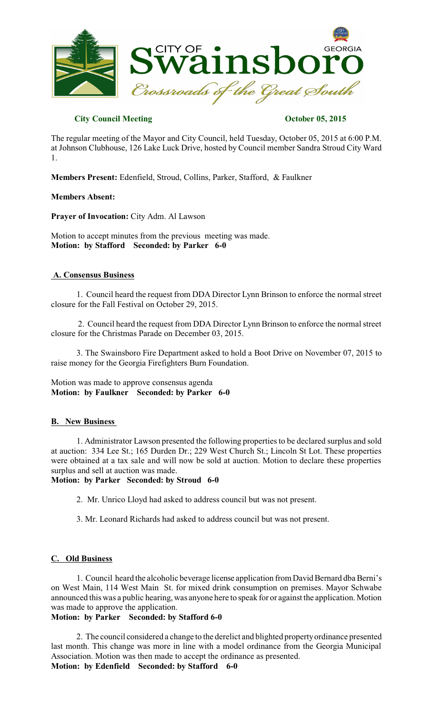

# **City Council Meeting Constraints October 05, 2015**

The regular meeting of the Mayor and City Council, held Tuesday, October 05, 2015 at 6:00 P.M. at Johnson Clubhouse, 126 Lake Luck Drive, hosted by Council member Sandra Stroud City Ward 1.

**Members Present:** Edenfield, Stroud, Collins, Parker, Stafford, & Faulkner

**Members Absent:**

**Prayer of Invocation:** City Adm. Al Lawson

Motion to accept minutes from the previous meeting was made. **Motion: by Stafford Seconded: by Parker 6-0** 

## **A. Consensus Business**

1. Council heard the request from DDA Director Lynn Brinson to enforce the normal street closure for the Fall Festival on October 29, 2015.

2. Council heard the request from DDA Director Lynn Brinson to enforce the normal street closure for the Christmas Parade on December 03, 2015.

3. The Swainsboro Fire Department asked to hold a Boot Drive on November 07, 2015 to raise money for the Georgia Firefighters Burn Foundation.

Motion was made to approve consensus agenda **Motion: by Faulkner Seconded: by Parker 6-0** 

## **B. New Business**

1. Administrator Lawson presented the following propertiesto be declared surplus and sold at auction: 334 Lee St.; 165 Durden Dr.; 229 West Church St.; Lincoln St Lot. These properties were obtained at a tax sale and will now be sold at auction. Motion to declare these properties surplus and sell at auction was made.

## **Motion: by Parker Seconded: by Stroud 6-0**

- 2. Mr. Unrico Lloyd had asked to address council but was not present.
- 3. Mr. Leonard Richards had asked to address council but was not present.

## **C. Old Business**

1. Council heard the alcoholic beverage license application from David Bernard dba Berni's on West Main, 114 West Main St. for mixed drink consumption on premises. Mayor Schwabe announced this was a public hearing, was anyone here to speak for or against the application. Motion was made to approve the application.

# **Motion: by Parker Seconded: by Stafford 6-0**

2. The council considered a change to the derelict and blighted propertyordinance presented last month. This change was more in line with a model ordinance from the Georgia Municipal Association. Motion was then made to accept the ordinance as presented. **Motion: by Edenfield Seconded: by Stafford 6-0**